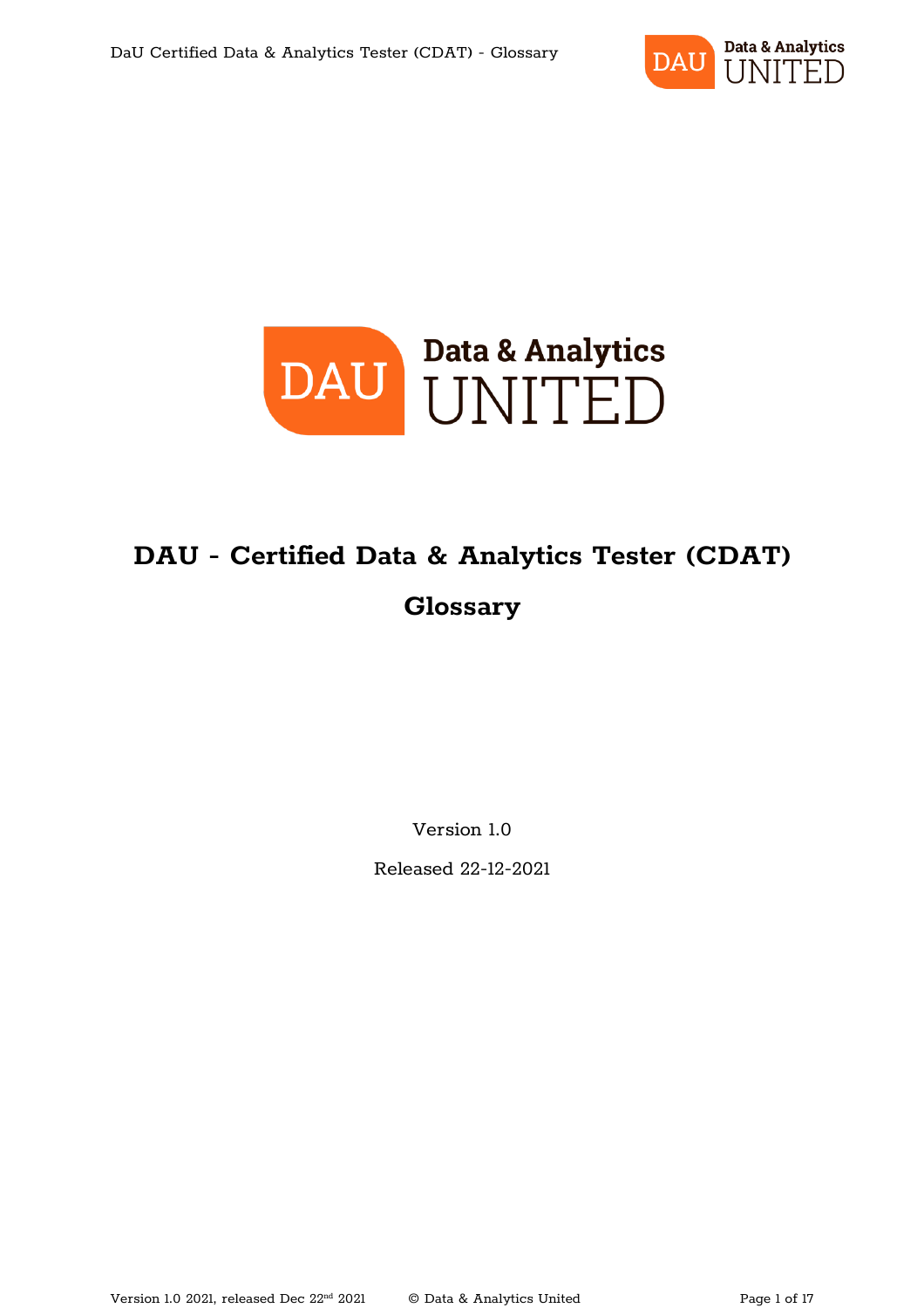



### **DAU - Certified Data & Analytics Tester (CDAT) Glossary**

Version 1.0

Released 22-12-2021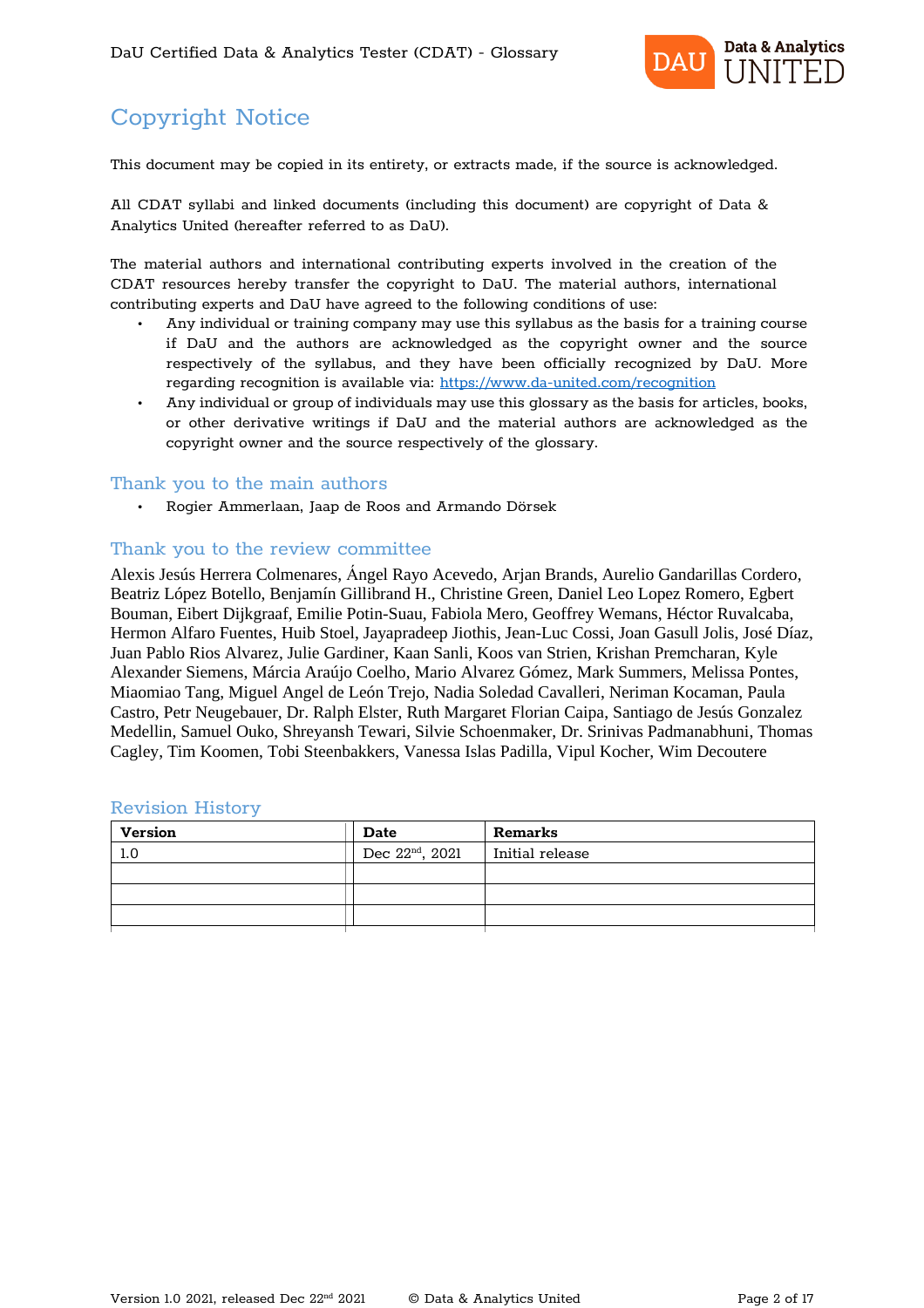

### Copyright Notice

This document may be copied in its entirety, or extracts made, if the source is acknowledged.

All CDAT syllabi and linked documents (including this document) are copyright of Data & Analytics United (hereafter referred to as DaU).

The material authors and international contributing experts involved in the creation of the CDAT resources hereby transfer the copyright to DaU. The material authors, international contributing experts and DaU have agreed to the following conditions of use:

- Any individual or training company may use this syllabus as the basis for a training course if DaU and the authors are acknowledged as the copyright owner and the source respectively of the syllabus, and they have been officially recognized by DaU. More regarding recognition is available via: https://www.da-united.com/recognition
- Any individual or group of individuals may use this glossary as the basis for articles, books, or other derivative writings if DaU and the material authors are acknowledged as the copyright owner and the source respectively of the glossary.

#### Thank you to the main authors

• Rogier Ammerlaan, Jaap de Roos and Armando Dörsek

#### Thank you to the review committee

Alexis Jesús Herrera Colmenares, Ángel Rayo Acevedo, Arjan Brands, Aurelio Gandarillas Cordero, Beatriz López Botello, Benjamín Gillibrand H., Christine Green, Daniel Leo Lopez Romero, Egbert Bouman, Eibert Dijkgraaf, Emilie Potin-Suau, Fabiola Mero, Geoffrey Wemans, Héctor Ruvalcaba, Hermon Alfaro Fuentes, Huib Stoel, Jayapradeep Jiothis, Jean-Luc Cossi, Joan Gasull Jolis, José Díaz, Juan Pablo Rios Alvarez, Julie Gardiner, Kaan Sanli, Koos van Strien, Krishan Premcharan, Kyle Alexander Siemens, Márcia Araújo Coelho, Mario Alvarez Gómez, Mark Summers, Melissa Pontes, Miaomiao Tang, Miguel Angel de León Trejo, Nadia Soledad Cavalleri, Neriman Kocaman, Paula Castro, Petr Neugebauer, Dr. Ralph Elster, Ruth Margaret Florian Caipa, Santiago de Jesús Gonzalez Medellin, Samuel Ouko, Shreyansh Tewari, Silvie Schoenmaker, Dr. Srinivas Padmanabhuni, Thomas Cagley, Tim Koomen, Tobi Steenbakkers, Vanessa Islas Padilla, Vipul Kocher, Wim Decoutere

| <b>Version</b> | <b>Date</b>                 | <b>Remarks</b>  |
|----------------|-----------------------------|-----------------|
| 1.0            | Dec 22 <sup>nd</sup> , 2021 | Initial release |
|                |                             |                 |
|                |                             |                 |
|                |                             |                 |
|                |                             |                 |

#### Revision History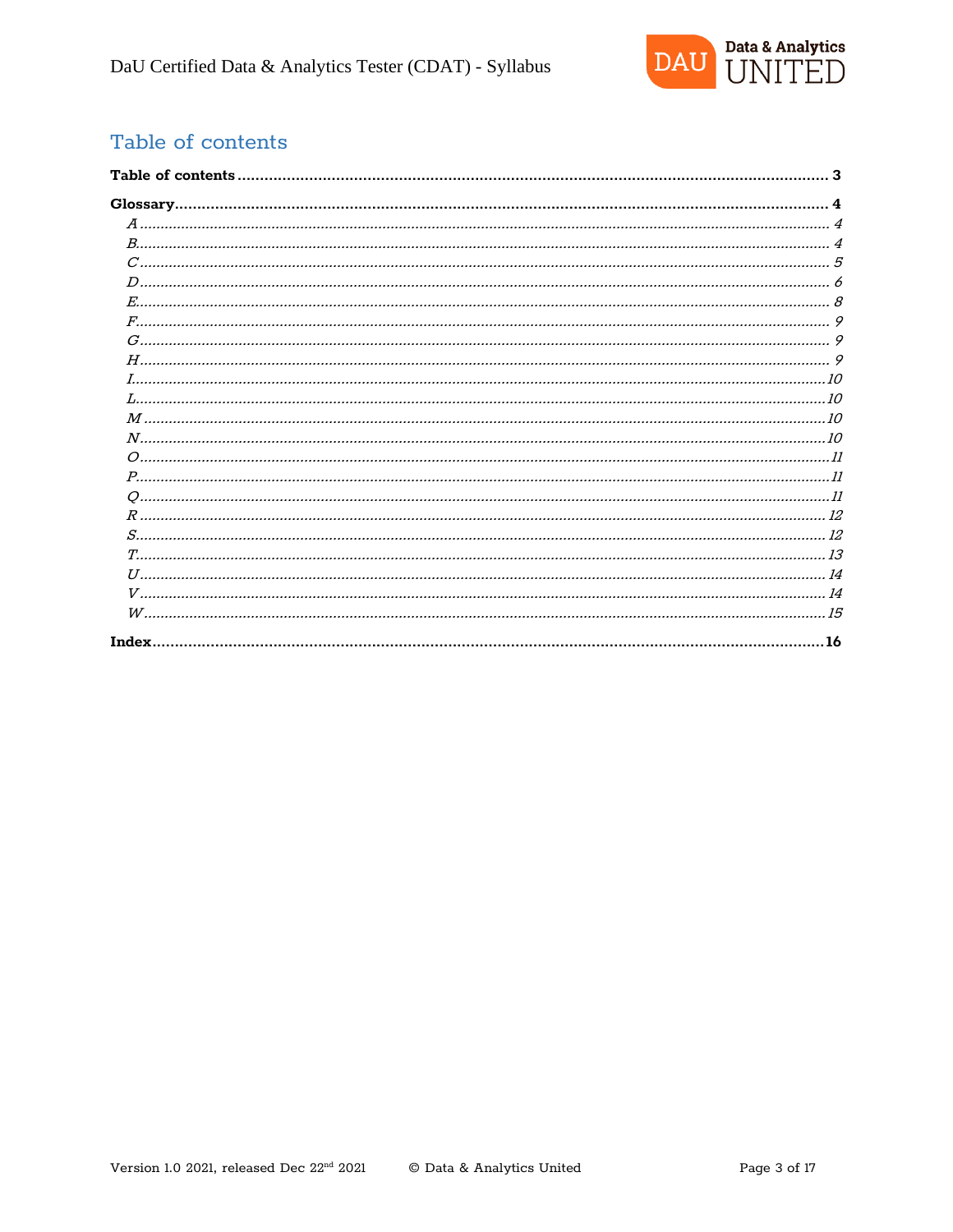

### Table of contents

| . . 16 |
|--------|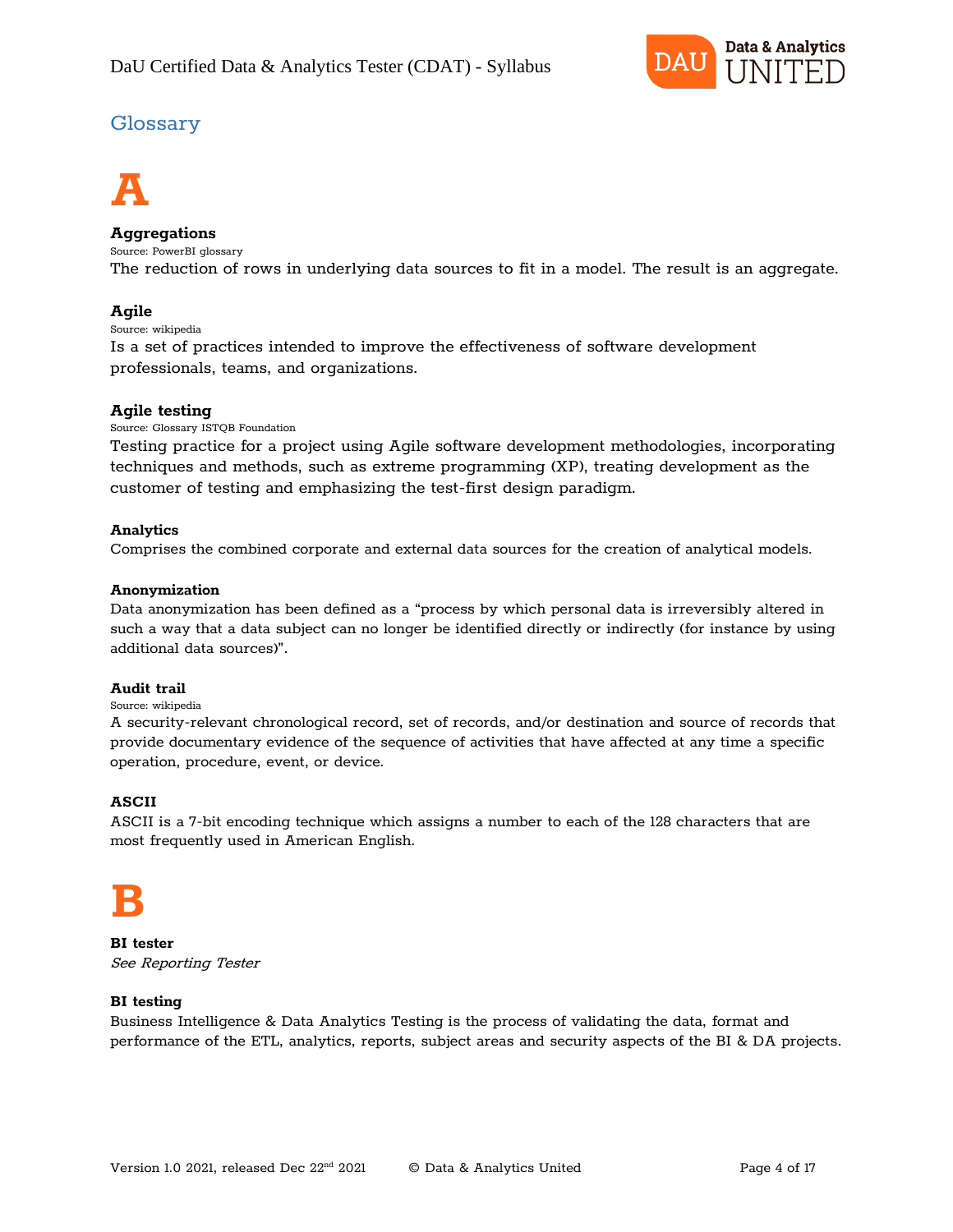

### Glossary



#### **Aggregations**

Source: PowerBI glossary The reduction of rows in underlying data sources to fit in a model. The result is an aggregate.

#### **Agile**

Source: wikipedia

Is a set of practices intended to improve the effectiveness of software development professionals, teams, and organizations.

#### **Agile testing**

Source: Glossary ISTQB Foundation

Testing practice for a project using Agile software development methodologies, incorporating techniques and methods, such as extreme programming (XP), treating development as the customer of testing and emphasizing the test-first design paradigm.

#### **Analytics**

Comprises the combined corporate and external data sources for the creation of analytical models.

#### **Anonymization**

Data anonymization has been defined as a "process by which personal data is irreversibly altered in such a way that a data subject can no longer be identified directly or indirectly (for instance by using additional data sources)".

#### **Audit trail**

#### Source: wikipedia

A security-relevant chronological record, set of records, and/or destination and source of records that provide documentary evidence of the sequence of activities that have affected at any time a specific operation, procedure, event, or device.

#### **ASCII**

ASCII is a 7-bit encoding technique which assigns a number to each of the 128 characters that are most frequently used in American English.

# **B**

**BI tester** See Reporting Tester

#### **BI testing**

Business Intelligence & Data Analytics Testing is the process of validating the data, format and performance of the ETL, analytics, reports, subject areas and security aspects of the BI & DA projects.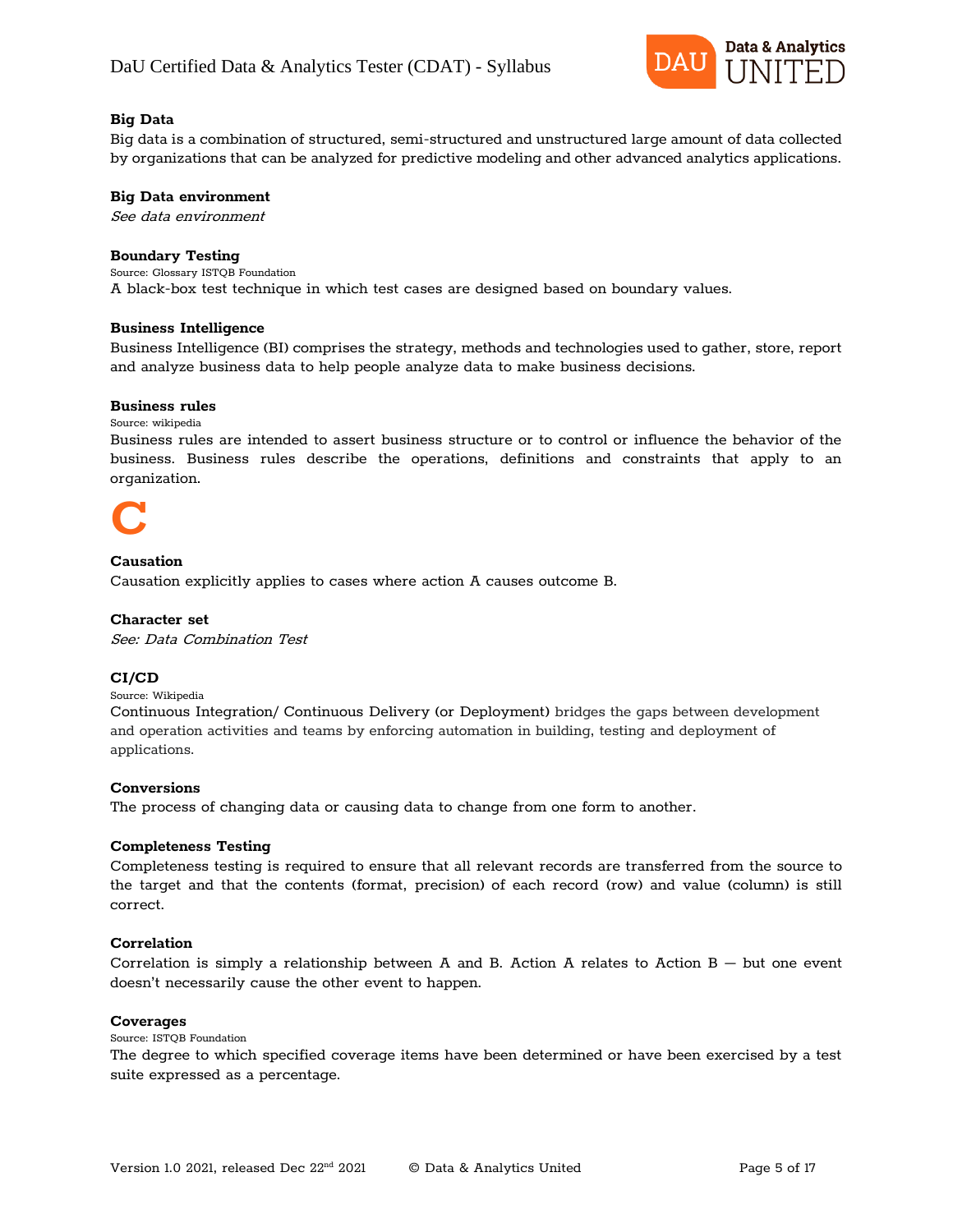

#### **Big Data**

Big data is a combination of structured, semi-structured and unstructured large amount of data collected by organizations that can be analyzed for predictive modeling and other advanced analytics applications.

#### **Big Data environment**

See data environment

#### **Boundary Testing**

Source: Glossary ISTQB Foundation A black-box test technique in which test cases are designed based on boundary values.

#### **Business Intelligence**

Business Intelligence (BI) comprises the strategy, methods and technologies used to gather, store, report and analyze business data to help people analyze data to make business decisions.

#### **Business rules**

Source: wikipedia

Business rules are intended to assert business structure or to control or influence the behavior of the business. Business rules describe the operations, definitions and constraints that apply to an organization.



#### **Causation**

Causation explicitly applies to cases where action A causes outcome B.

#### **Character set**

See: Data Combination Test

#### **CI/CD**

Source: Wikipedia

Continuous Integration/ Continuous Delivery (or Deployment) bridges the gaps between development and operation activities and teams by enforcing automation in building, testing and deployment of applications.

#### **Conversions**

The process of changing data or causing data to change from one form to another.

#### **Completeness Testing**

Completeness testing is required to ensure that all relevant records are transferred from the source to the target and that the contents (format, precision) of each record (row) and value (column) is still correct.

#### **Correlation**

Correlation is simply a relationship between A and B. Action A relates to Action  $B - b$ ut one event doesn't necessarily cause the other event to happen.

#### **Coverages**

Source: ISTQB Foundation

The degree to which specified coverage items have been determined or have been exercised by a test suite expressed as a percentage.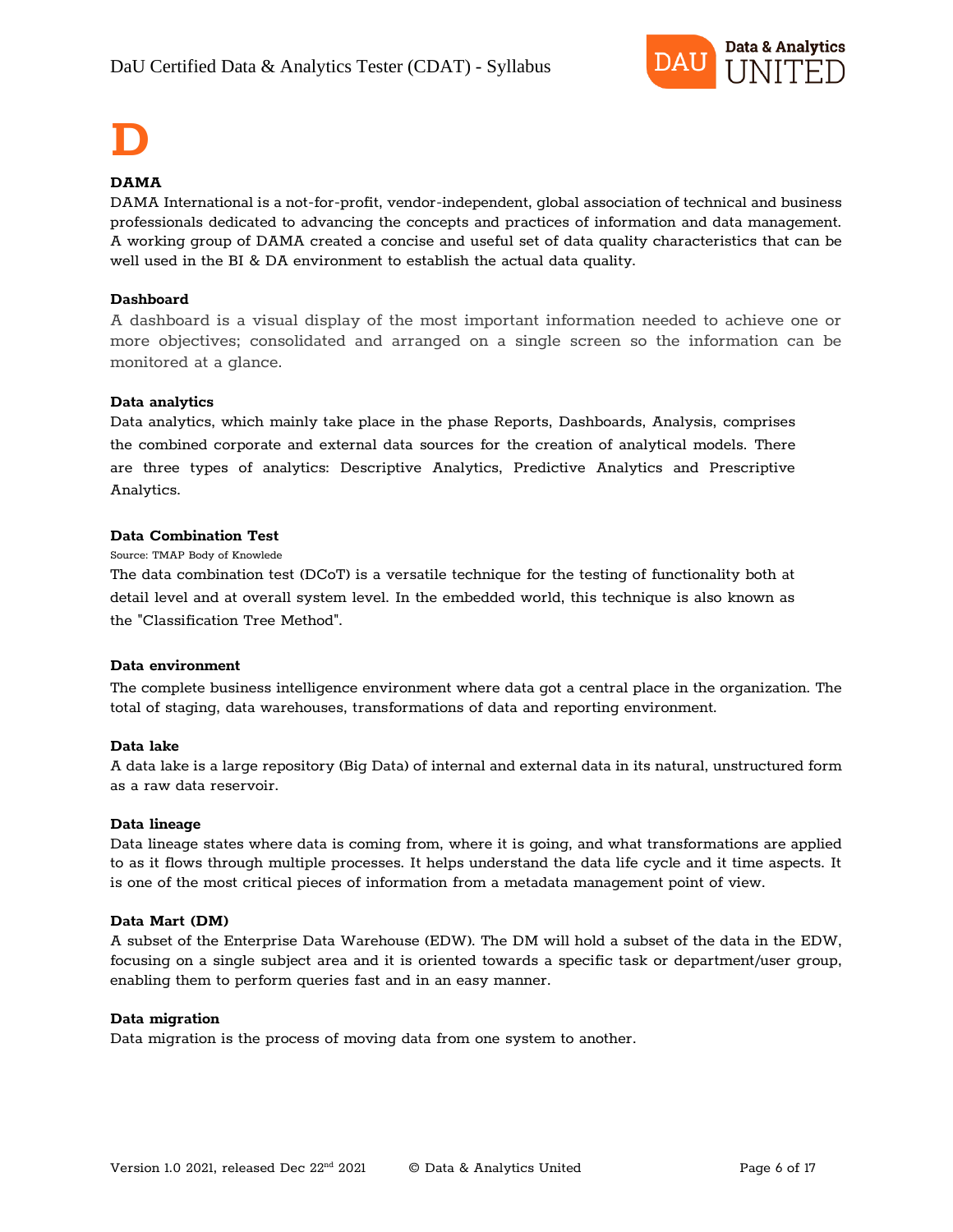

# **D**

#### **DAMA**

DAMA International is a not-for-profit, vendor-independent, global association of technical and business professionals dedicated to advancing the concepts and practices of information and data management. A working group of DAMA created a concise and useful set of data quality characteristics that can be well used in the BI & DA environment to establish the actual data quality.

#### **Dashboard**

A dashboard is a visual display of the most important information needed to achieve one or more objectives; consolidated and arranged on a single screen so the information can be monitored at a glance.

#### **Data analytics**

Data analytics, which mainly take place in the phase Reports, Dashboards, Analysis, comprises the combined corporate and external data sources for the creation of analytical models. There are three types of analytics: Descriptive Analytics, Predictive Analytics and Prescriptive Analytics.

#### **Data Combination Test**

Source: TMAP Body of Knowlede

The data combination test (DCoT) is a versatile technique for the testing of functionality both at detail level and at overall system level. In the embedded world, this technique is also known as the "Classification Tree Method".

#### **Data environment**

The complete business intelligence environment where data got a central place in the organization. The total of staging, data warehouses, transformations of data and reporting environment.

#### **Data lake**

A data lake is a large repository (Big Data) of internal and external data in its natural, unstructured form as a raw data reservoir.

#### **Data lineage**

Data lineage states where data is coming from, where it is going, and what transformations are applied to as it flows through multiple processes. It helps understand the data life cycle and it time aspects. It is one of the most critical pieces of information from a metadata management point of view.

#### **Data Mart (DM)**

A subset of the Enterprise Data Warehouse (EDW). The DM will hold a subset of the data in the EDW, focusing on a single subject area and it is oriented towards a specific task or department/user group, enabling them to perform queries fast and in an easy manner.

#### **Data migration**

Data migration is the process of moving data from one system to another.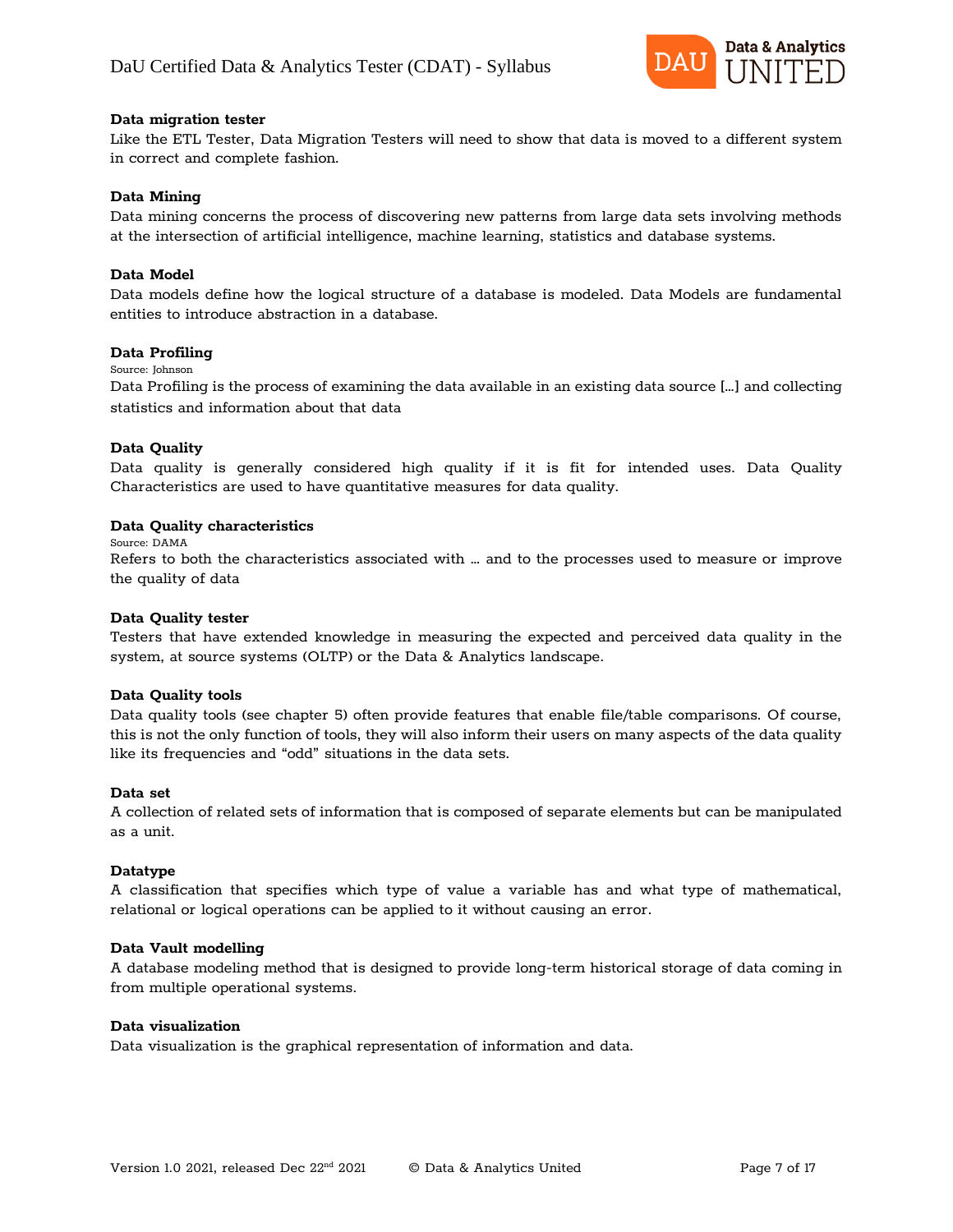

#### **Data migration tester**

Like the ETL Tester, Data Migration Testers will need to show that data is moved to a different system in correct and complete fashion.

#### **Data Mining**

Data mining concerns the process of discovering new patterns from large data sets involving methods at the intersection of artificial intelligence, machine learning, statistics and database systems.

#### **Data Model**

Data models define how the logical structure of a database is modeled. Data Models are fundamental entities to introduce abstraction in a database.

#### **Data Profiling**

#### Source: Johnson

Data Profiling is the process of examining the data available in an existing data source […] and collecting statistics and information about that data

#### **Data Quality**

Data quality is generally considered high quality if it is fit for intended uses. Data Quality Characteristics are used to have quantitative measures for data quality.

#### **Data Quality characteristics**

Source: DAMA

Refers to both the characteristics associated with … and to the processes used to measure or improve the quality of data

#### **Data Quality tester**

Testers that have extended knowledge in measuring the expected and perceived data quality in the system, at source systems (OLTP) or the Data & Analytics landscape.

#### **Data Quality tools**

Data quality tools (see chapter 5) often provide features that enable file/table comparisons. Of course, this is not the only function of tools, they will also inform their users on many aspects of the data quality like its frequencies and "odd" situations in the data sets.

#### **Data set**

A collection of related sets of information that is composed of separate elements but can be manipulated as a unit.

#### **Datatype**

A classification that specifies which type of value a variable has and what type of mathematical, relational or logical operations can be applied to it without causing an error.

#### **Data Vault modelling**

A database modeling method that is designed to provide long-term historical storage of data coming in from multiple operational systems.

#### **Data visualization**

Data visualization is the graphical representation of information and data.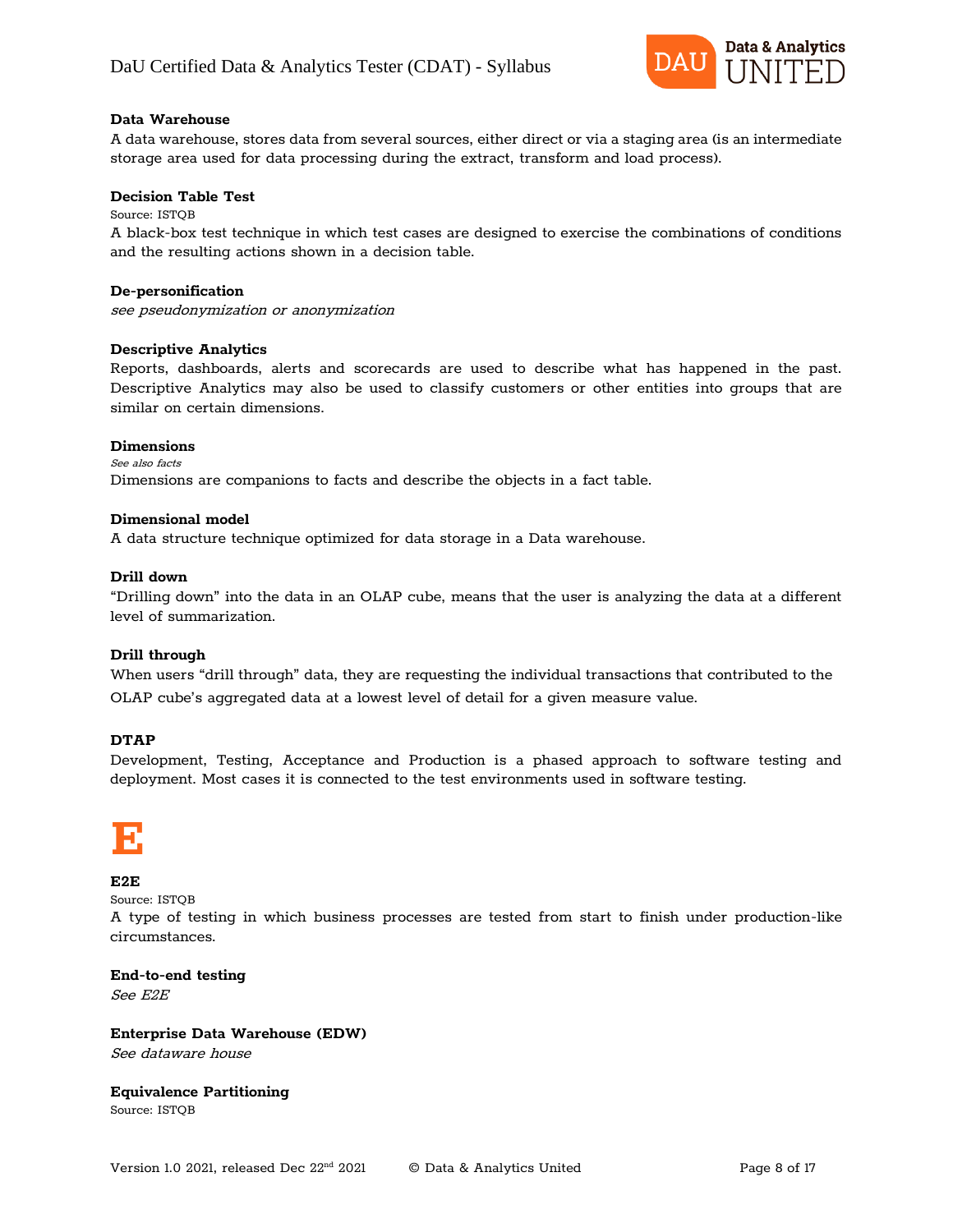

#### **Data Warehouse**

A data warehouse, stores data from several sources, either direct or via a staging area (is an intermediate storage area used for data processing during the extract, transform and load process).

#### **Decision Table Test**

Source: ISTQB A black-box test technique in which test cases are designed to exercise the combinations of conditions and the resulting actions shown in a decision table.

#### **De-personification**

see pseudonymization or anonymization

#### **Descriptive Analytics**

Reports, dashboards, alerts and scorecards are used to describe what has happened in the past. Descriptive Analytics may also be used to classify customers or other entities into groups that are similar on certain dimensions.

#### **Dimensions**

See also facts Dimensions are companions to facts and describe the objects in a fact table.

#### **Dimensional model**

A data structure technique optimized for data storage in a Data warehouse.

#### **Drill down**

"Drilling down" into the data in an OLAP cube, means that the user is analyzing the data at a different level of summarization.

#### **Drill through**

When users "drill through" data, they are requesting the individual transactions that contributed to the OLAP cube's aggregated data at a lowest level of detail for a given measure value.

#### **DTAP**

Development, Testing, Acceptance and Production is a phased approach to software testing and deployment. Most cases it is connected to the test environments used in software testing.

### **E**

#### **E2E**

Source: ISTQB

A type of testing in which business processes are tested from start to finish under production-like circumstances.

#### **End-to-end testing**

See E2E

**Enterprise Data Warehouse (EDW)** See dataware house

### **Equivalence Partitioning**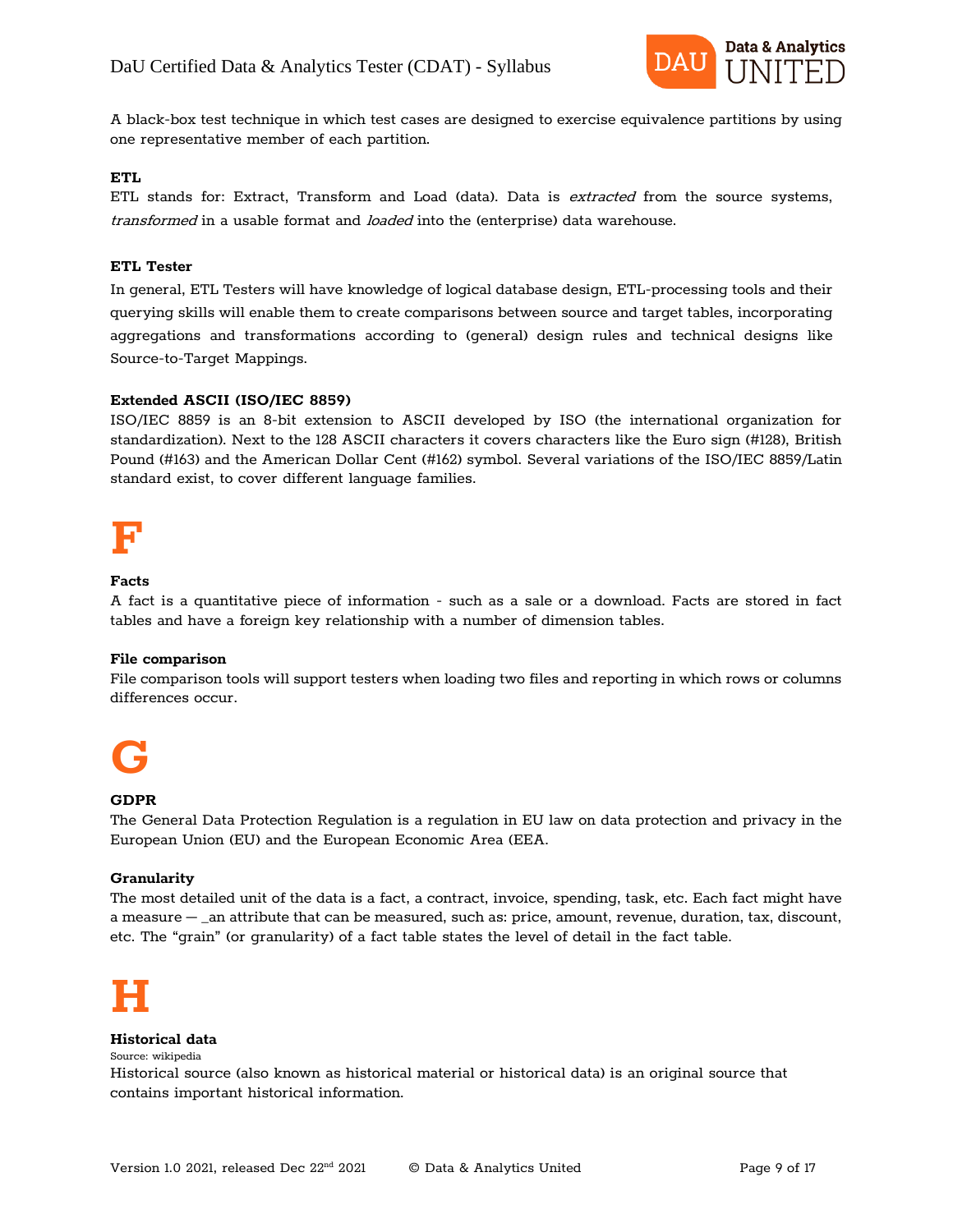

A black-box test technique in which test cases are designed to exercise equivalence partitions by using one representative member of each partition.

#### **ETL**

ETL stands for: Extract, Transform and Load (data). Data is extracted from the source systems, transformed in a usable format and loaded into the (enterprise) data warehouse.

#### **ETL Tester**

In general, ETL Testers will have knowledge of logical database design, ETL-processing tools and their querying skills will enable them to create comparisons between source and target tables, incorporating aggregations and transformations according to (general) design rules and technical designs like Source-to-Target Mappings.

#### **Extended ASCII (ISO/IEC 8859)**

ISO/IEC 8859 is an 8-bit extension to ASCII developed by ISO (the international organization for standardization). Next to the 128 ASCII characters it covers characters like the Euro sign (#128), British Pound (#163) and the American Dollar Cent (#162) symbol. Several variations of the ISO/IEC 8859/Latin standard exist, to cover different language families.



#### **Facts**

A fact is a quantitative piece of information - such as a sale or a download. Facts are stored in fact tables and have a foreign key relationship with a number of dimension tables.

#### **File comparison**

File comparison tools will support testers when loading two files and reporting in which rows or columns differences occur.



#### **GDPR**

The General Data Protection Regulation is a regulation in EU law on data protection and privacy in the European Union (EU) and the European Economic Area (EEA.

#### **Granularity**

The most detailed unit of the data is a fact, a contract, invoice, spending, task, etc. Each fact might have a measure – \_an attribute that can be measured, such as: price, amount, revenue, duration, tax, discount, etc. The "grain" (or granularity) of a fact table states the level of detail in the fact table.



#### **Historical data**

Source: wikipedia

Historical source (also known as historical material or historical data) is an original source that contains important historical information.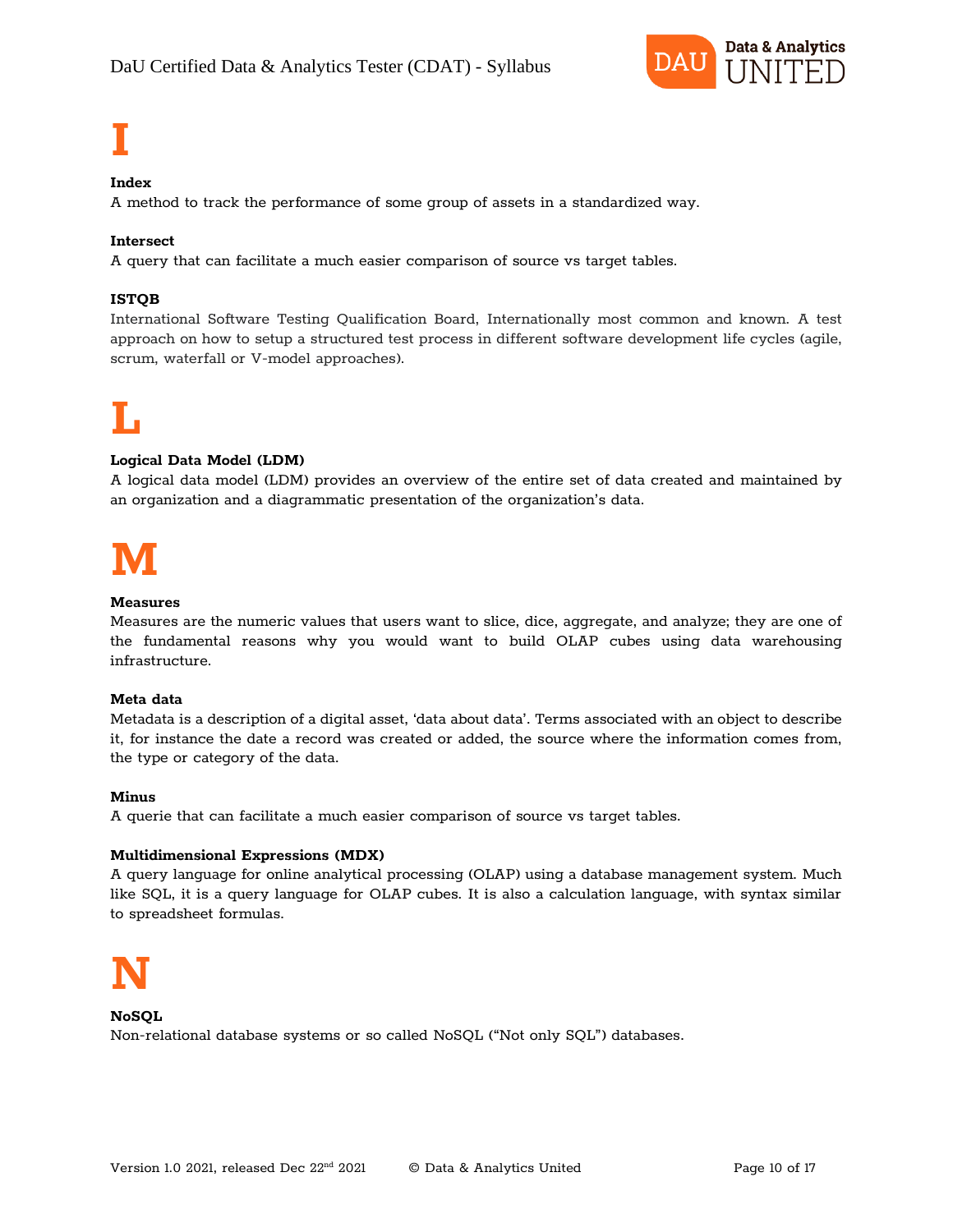

# **I**

#### **Index**

A method to track the performance of some group of assets in a standardized way.

#### **Intersect**

A query that can facilitate a much easier comparison of source vs target tables.

#### **ISTQB**

International Software Testing Qualification Board, Internationally most common and known. A test approach on how to setup a structured test process in different software development life cycles (agile, scrum, waterfall or V-model approaches).

# **L**

#### **Logical Data Model (LDM)**

A logical data model (LDM) provides an overview of the entire set of data created and maintained by an organization and a diagrammatic presentation of the organization's data.

# **M**

#### **Measures**

Measures are the numeric values that users want to slice, dice, aggregate, and analyze; they are one of the fundamental reasons why you would want to build OLAP cubes using data warehousing infrastructure.

#### **Meta data**

Metadata is a description of a digital asset, 'data about data'. Terms associated with an object to describe it, for instance the date a record was created or added, the source where the information comes from, the type or category of the data.

#### **Minus**

A querie that can facilitate a much easier comparison of source vs target tables.

#### **Multidimensional Expressions (MDX)**

A query language for online analytical processing (OLAP) using a database management system. Much like SQL, it is a query language for OLAP cubes. It is also a calculation language, with syntax similar to spreadsheet formulas.



#### **NoSQL** Non-relational database systems or so called NoSQL ("Not only SQL") databases.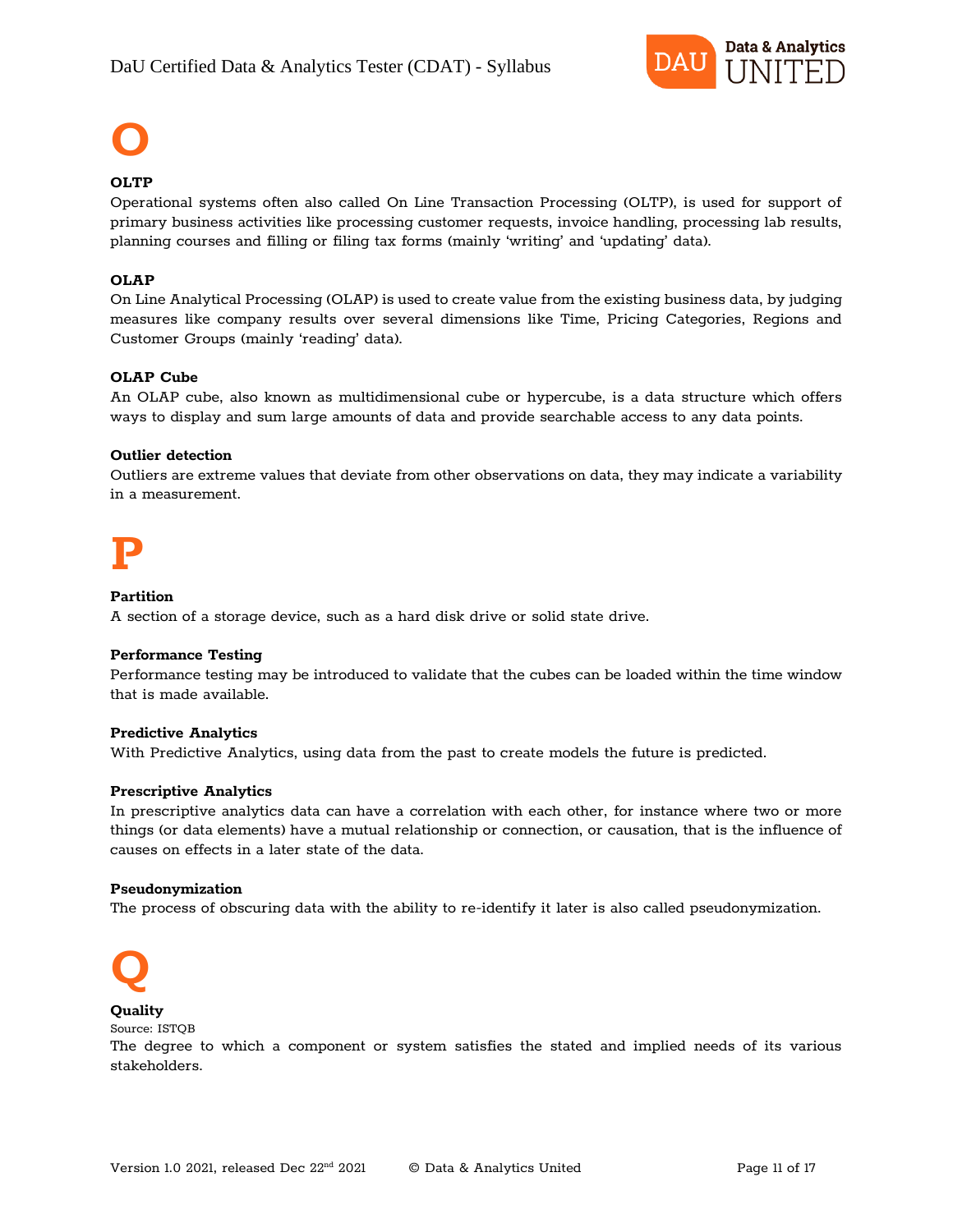

# **O**

#### **OLTP**

Operational systems often also called On Line Transaction Processing (OLTP), is used for support of primary business activities like processing customer requests, invoice handling, processing lab results, planning courses and filling or filing tax forms (mainly 'writing' and 'updating' data).

#### **OLAP**

On Line Analytical Processing (OLAP) is used to create value from the existing business data, by judging measures like company results over several dimensions like Time, Pricing Categories, Regions and Customer Groups (mainly 'reading' data).

#### **OLAP Cube**

An OLAP cube, also known as multidimensional cube or hypercube, is a data structure which offers ways to display and sum large amounts of data and provide searchable access to any data points.

#### **Outlier detection**

Outliers are extreme values that deviate from other observations on data, they may indicate a variability in a measurement.

# **P**

#### **Partition**

A section of a storage device, such as a hard disk drive or solid state drive.

#### **Performance Testing**

Performance testing may be introduced to validate that the cubes can be loaded within the time window that is made available.

#### **Predictive Analytics**

With Predictive Analytics, using data from the past to create models the future is predicted.

#### **Prescriptive Analytics**

In prescriptive analytics data can have a correlation with each other, for instance where two or more things (or data elements) have a mutual relationship or connection, or causation, that is the influence of causes on effects in a later state of the data.

#### **Pseudonymization**

The process of obscuring data with the ability to re-identify it later is also called pseudonymization.



#### **Quality** Source: ISTQB

The degree to which a component or system satisfies the stated and implied needs of its various stakeholders.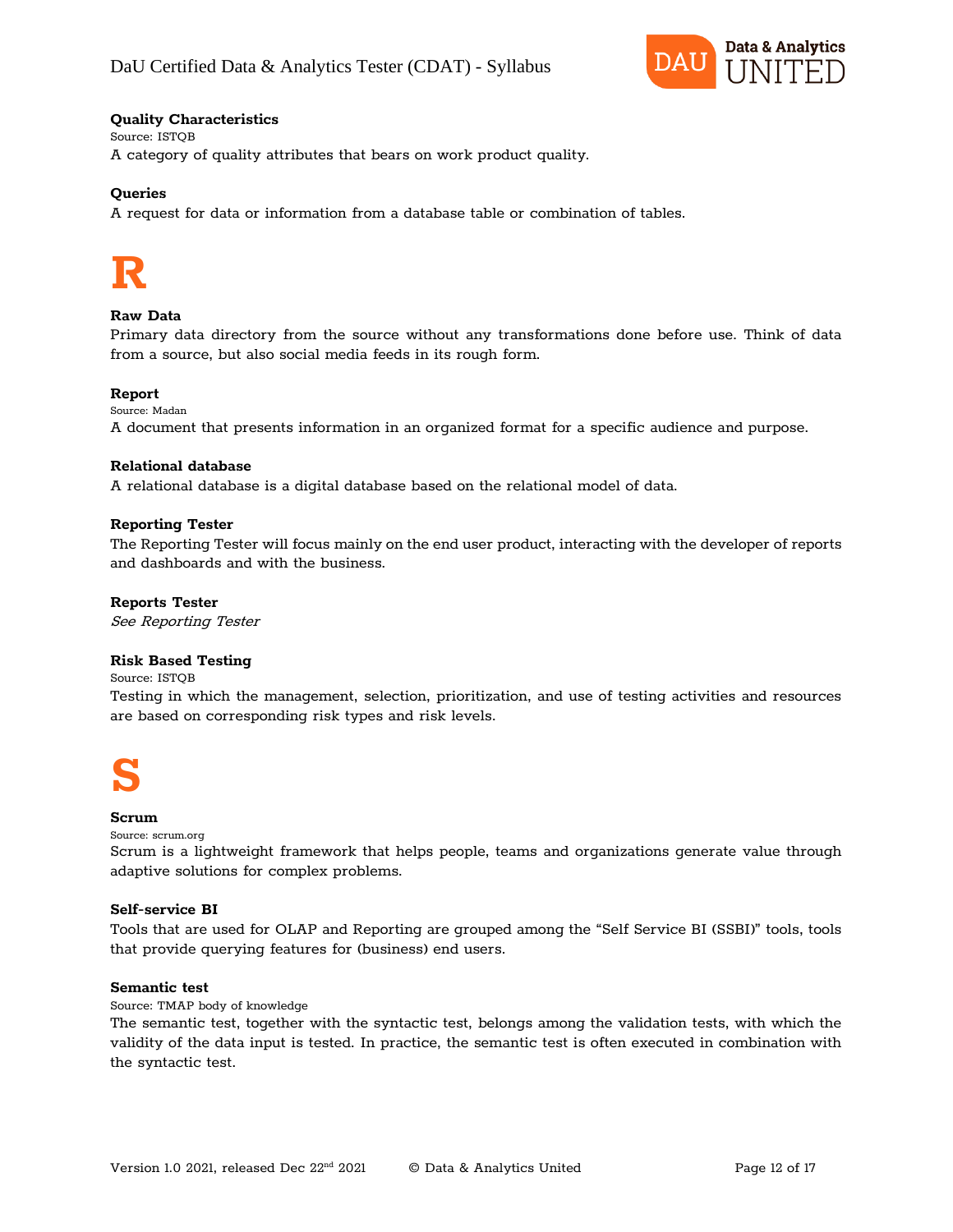

#### **Quality Characteristics**

Source: ISTQB A category of quality attributes that bears on work product quality.

#### **Queries**

A request for data or information from a database table or combination of tables.

# **R**

#### **Raw Data**

Primary data directory from the source without any transformations done before use. Think of data from a source, but also social media feeds in its rough form.

#### **Report**

Source: Madan A document that presents information in an organized format for a specific audience and purpose.

#### **Relational database**

A relational database is a digital database based on the relational model of data.

#### **Reporting Tester**

The Reporting Tester will focus mainly on the end user product, interacting with the developer of reports and dashboards and with the business.

#### **Reports Tester**

See Reporting Tester

#### **Risk Based Testing**

Source: ISTQB

Testing in which the management, selection, prioritization, and use of testing activities and resources are based on corresponding risk types and risk levels.



#### **Scrum**

Source: scrum.org

Scrum is a lightweight framework that helps people, teams and organizations generate value through adaptive solutions for complex problems.

#### **Self-service BI**

Tools that are used for OLAP and Reporting are grouped among the "Self Service BI (SSBI)" tools, tools that provide querying features for (business) end users.

#### **Semantic test**

Source: TMAP body of knowledge

The semantic test, together with the syntactic test, belongs among the validation tests, with which the validity of the data input is tested. In practice, the semantic test is often executed in combination with the syntactic test.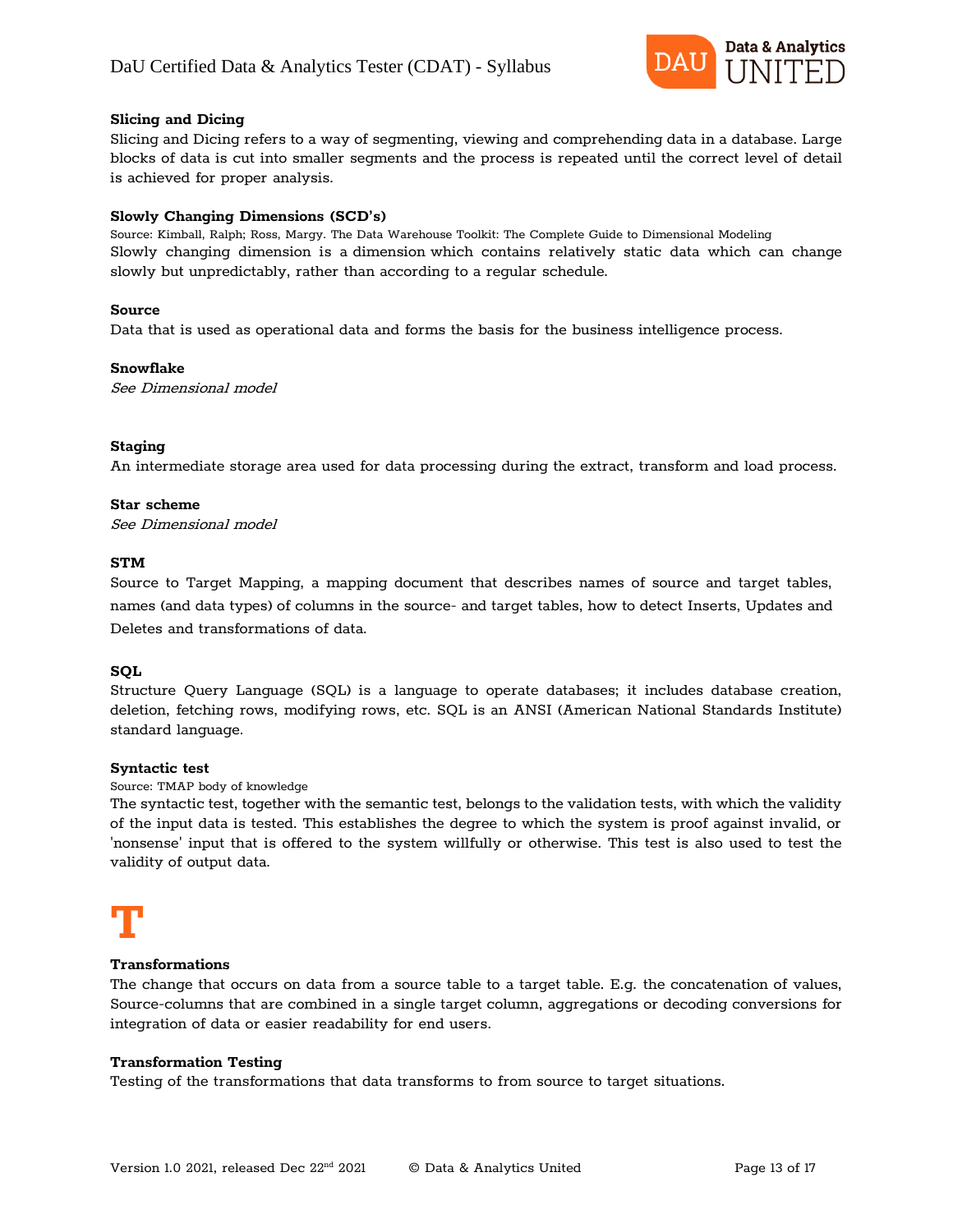

#### **Slicing and Dicing**

Slicing and Dicing refers to a way of segmenting, viewing and comprehending data in a database. Large blocks of data is cut into smaller segments and the process is repeated until the correct level of detail is achieved for proper analysis.

#### **Slowly Changing Dimensions (SCD's)**

Source: Kimball, Ralph; Ross, Margy. The Data Warehouse Toolkit: The Complete Guide to Dimensional Modeling Slowly changing dimension is a [dimension](https://en.wikipedia.org/wiki/Dimension_(data_warehouse)) which contains relatively static data which can change slowly but unpredictably, rather than according to a regular schedule.

#### **Source**

Data that is used as operational data and forms the basis for the business intelligence process.

#### **Snowflake**

See Dimensional model

#### **Staging**

An intermediate storage area used for data processing during the extract, transform and load process.

#### **Star scheme**

See Dimensional model

#### **STM**

Source to Target Mapping, a mapping document that describes names of source and target tables, names (and data types) of columns in the source- and target tables, how to detect Inserts, Updates and Deletes and transformations of data.

#### **SQL**

Structure Query Language (SQL) is a language to operate databases; it includes database creation, deletion, fetching rows, modifying rows, etc. SQL is an ANSI (American National Standards Institute) standard language.

#### **Syntactic test**

Source: TMAP body of knowledge

The syntactic test, together with the semantic test, belongs to the validation tests, with which the validity of the input data is tested. This establishes the degree to which the system is proof against invalid, or 'nonsense' input that is offered to the system willfully or otherwise. This test is also used to test the validity of output data.

# **T**

#### **Transformations**

The change that occurs on data from a source table to a target table. E.g. the concatenation of values, Source-columns that are combined in a single target column, aggregations or decoding conversions for integration of data or easier readability for end users.

#### **Transformation Testing**

Testing of the transformations that data transforms to from source to target situations.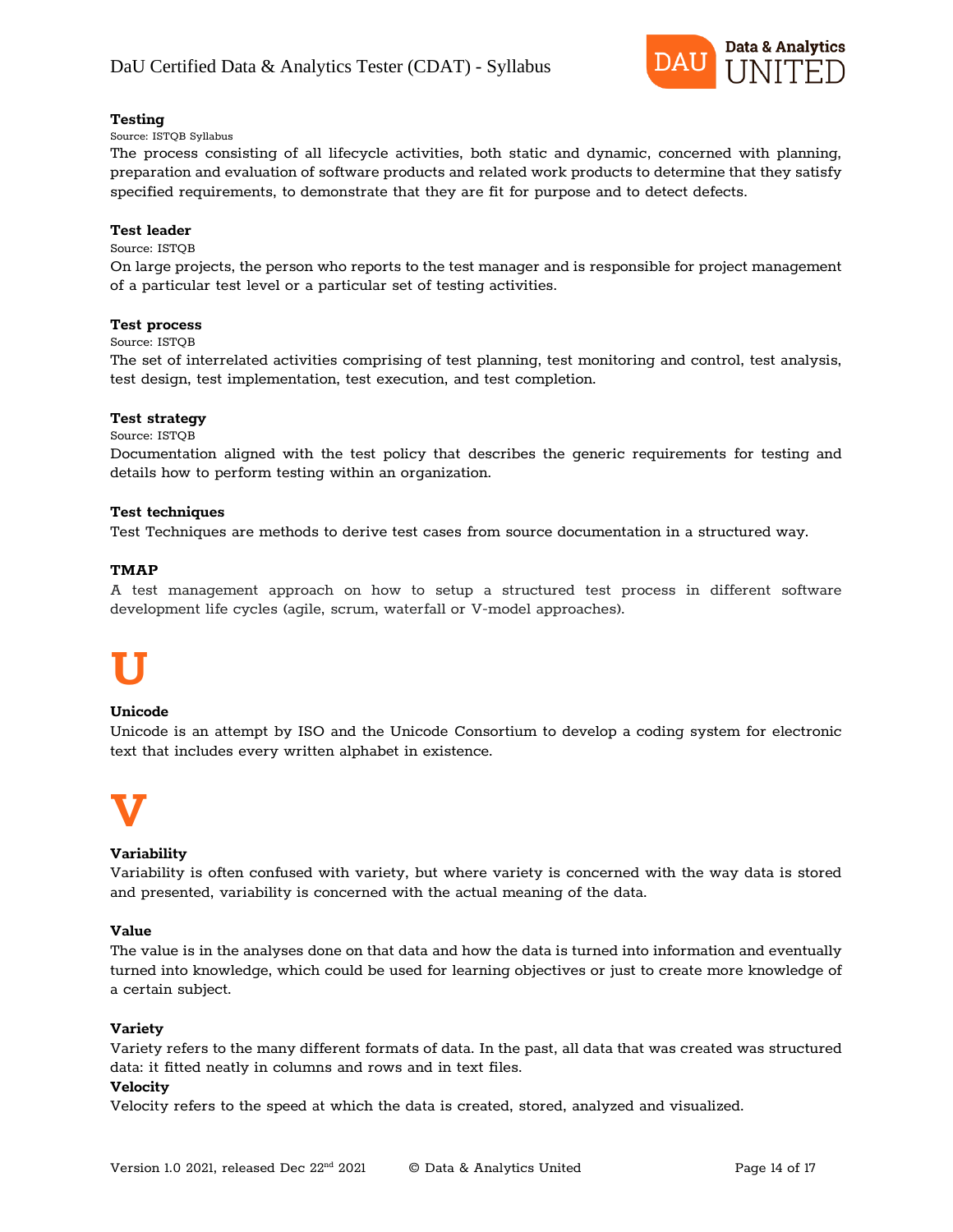

#### **Testing**

#### Source: ISTQB Syllabus

The process consisting of all lifecycle activities, both static and dynamic, concerned with planning, preparation and evaluation of software products and related work products to determine that they satisfy specified requirements, to demonstrate that they are fit for purpose and to detect defects.

#### **Test leader**

#### Source: ISTQB

On large projects, the person who reports to the test manager and is responsible for project management of a particular test level or a particular set of testing activities.

#### **Test process**

Source: ISTQB

The set of interrelated activities comprising of test planning, test monitoring and control, test analysis, test design, test implementation, test execution, and test completion.

#### **Test strategy**

#### Source: ISTQB

Documentation aligned with the test policy that describes the generic requirements for testing and details how to perform testing within an organization.

#### **Test techniques**

Test Techniques are methods to derive test cases from source documentation in a structured way.

#### **TMAP**

A test management approach on how to setup a structured test process in different software development life cycles (agile, scrum, waterfall or V-model approaches).

# **U**

#### **Unicode**

Unicode is an attempt by ISO and the Unicode Consortium to develop a coding system for electronic text that includes every written alphabet in existence.



#### **Variability**

Variability is often confused with variety, but where variety is concerned with the way data is stored and presented, variability is concerned with the actual meaning of the data.

#### **Value**

The value is in the analyses done on that data and how the data is turned into information and eventually turned into knowledge, which could be used for learning objectives or just to create more knowledge of a certain subject.

#### **Variety**

Variety refers to the many different formats of data. In the past, all data that was created was structured data: it fitted neatly in columns and rows and in text files.

#### **Velocity**

Velocity refers to the speed at which the data is created, stored, analyzed and visualized.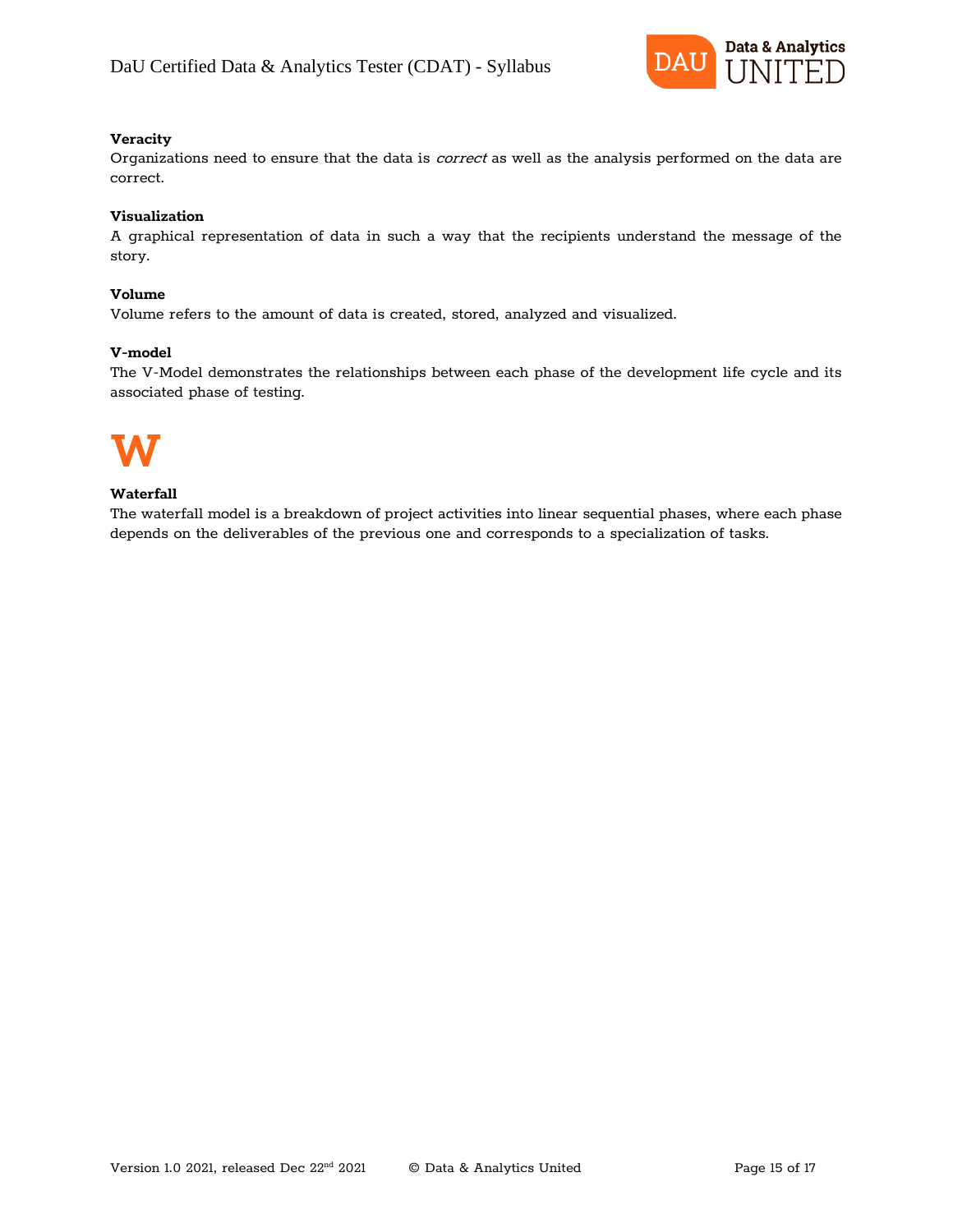

#### **Veracity**

Organizations need to ensure that the data is correct as well as the analysis performed on the data are correct.

#### **Visualization**

A graphical representation of data in such a way that the recipients understand the message of the story.

#### **Volume**

Volume refers to the amount of data is created, stored, analyzed and visualized.

#### **V-model**

The V-Model demonstrates the relationships between each phase of the development life cycle and its associated phase of testing.



#### **Waterfall**

The waterfall model is a breakdown of project activities into linear sequential phases, where each phase depends on the deliverables of the previous one and corresponds to a specialization of tasks.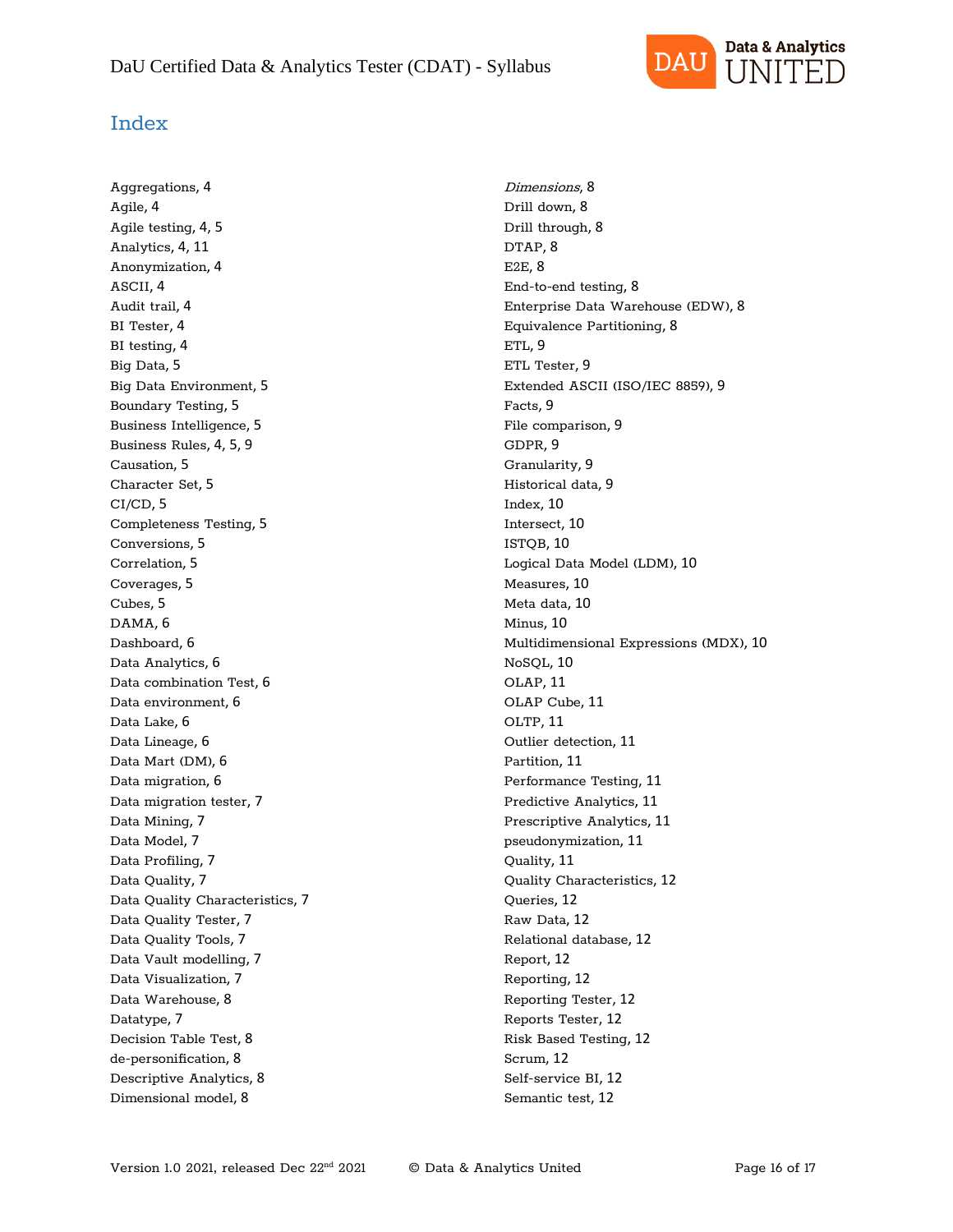

### Index

Aggregations, 4 Agile, 4 Agile testing, 4, 5 Analytics, 4, 11 Anonymization, 4 ASCII, 4 Audit trail, 4 BI Tester, 4 BI testing, 4 Big Data, 5 Big Data Environment, 5 Boundary Testing, 5 Business Intelligence, 5 Business Rules, 4, 5, 9 Causation, 5 Character Set, 5 CI/CD, 5 Completeness Testing, 5 Conversions, 5 Correlation, 5 Coverages, 5 Cubes, 5 DAMA, 6 Dashboard, 6 Data Analytics, 6 Data combination Test, 6 Data environment, 6 Data Lake, 6 Data Lineage, 6 Data Mart (DM), 6 Data migration, 6 Data migration tester, 7 Data Mining, 7 Data Model, 7 Data Profiling, 7 Data Quality, 7 Data Quality Characteristics, 7 Data Quality Tester, 7 Data Quality Tools, 7 Data Vault modelling, 7 Data Visualization, 7 Data Warehouse, 8 Datatype, 7 Decision Table Test, 8 de-personification, 8 Descriptive Analytics, 8 Dimensional model, 8

Dimensions, 8 Drill down, 8 Drill through, 8 DTAP, 8 E2E, 8 End-to-end testing, 8 Enterprise Data Warehouse (EDW), 8 Equivalence Partitioning, 8 ETL, 9 ETL Tester, 9 Extended ASCII (ISO/IEC 8859), 9 Facts, 9 File comparison, 9 GDPR, 9 Granularity, 9 Historical data, 9 Index, 10 Intersect, 10 ISTQB, 10 Logical Data Model (LDM), 10 Measures, 10 Meta data, 10 Minus, 10 Multidimensional Expressions (MDX), 10 NoSQL, 10 OLAP, 11 OLAP Cube, 11 OLTP, 11 Outlier detection, 11 Partition, 11 Performance Testing, 11 Predictive Analytics, 11 Prescriptive Analytics, 11 pseudonymization, 11 Quality, 11 Quality Characteristics, 12 Queries, 12 Raw Data, 12 Relational database, 12 Report, 12 Reporting, 12 Reporting Tester, 12 Reports Tester, 12 Risk Based Testing, 12 Scrum, 12 Self-service BI, 12 Semantic test, 12